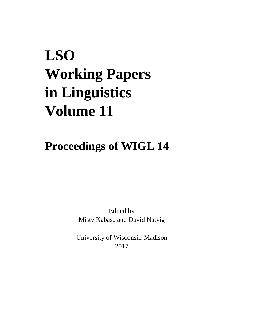## **LSO Working Papers in Linguistics Volume 11**

## **Proceedings of WIGL 14**

Edited by Misty Kabasa and David Natvig

University of Wisconsin-Madison 2017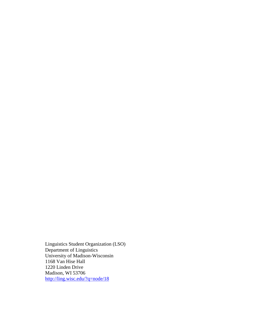Linguistics Student Organization (LSO) Department of Linguistics University of Madison-Wisconsin 1168 Van Hise Hall 1220 Linden Drive Madison, WI 53706 <http://ling.wisc.edu/?q=node/18>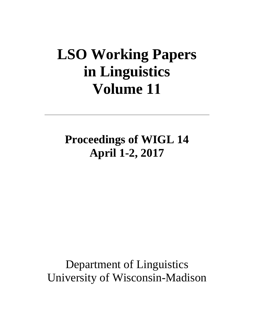## **LSO Working Papers in Linguistics Volume 11**

**Proceedings of WIGL 14 April 1-2, 2017**

Department of Linguistics University of Wisconsin-Madison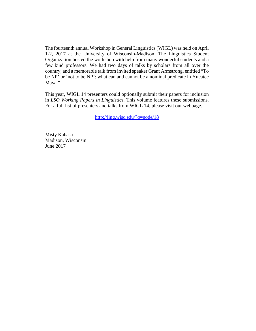The fourteenth annual Workshop in General Linguistics (WIGL) was held on April 1-2, 2017 at the University of Wisconsin-Madison. The Linguistics Student Organization hosted the workshop with help from many wonderful students and a few kind professors. We had two days of talks by scholars from all over the country, and a memorable talk from invited speaker Grant Armstrong, entitled "To be NP' or 'not to be NP': what can and cannot be a nominal predicate in Yucatec Maya."

This year, WIGL 14 presenters could optionally submit their papers for inclusion in *LSO Working Papers in Linguistics.* This volume features these submissions. For a full list of presenters and talks from WIGL 14, please visit our webpage.

<http://ling.wisc.edu/?q=node/18>

Misty Kabasa Madison, Wisconsin June 2017